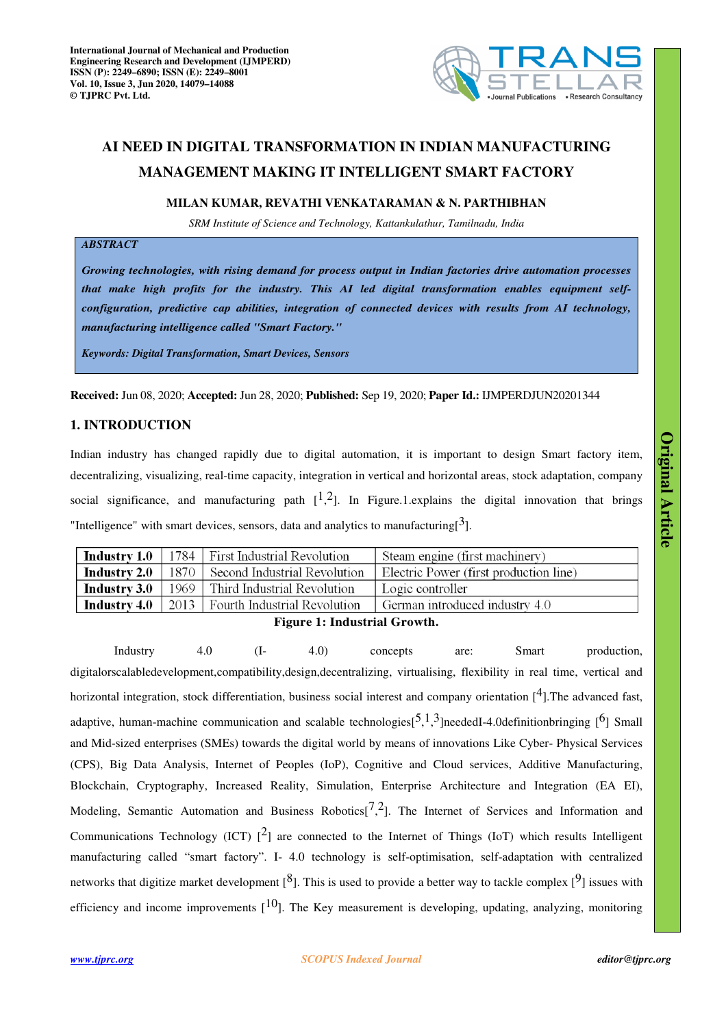

# **AI NEED IN DIGITAL TRANSFORMATION IN INDIAN MANUFACTURING MANAGEMENT MAKING IT INTELLIGENT SMART FACTORY**

## **MILAN KUMAR, REVATHI VENKATARAMAN & N. PARTHIBHAN**

*SRM Institute of Science and Technology, Kattankulathur, Tamilnadu, India* 

# *ABSTRACT*

*Growing technologies, with rising demand for process output in Indian factories drive automation processes that make high profits for the industry. This AI led digital transformation enables equipment selfconfiguration, predictive cap abilities, integration of connected devices with results from AI technology, manufacturing intelligence called "Smart Factory."*

*Keywords: Digital Transformation, Smart Devices, Sensors* 

**Received:** Jun 08, 2020; **Accepted:** Jun 28, 2020; **Published:** Sep 19, 2020; **Paper Id.:** IJMPERDJUN20201344

# **1. INTRODUCTION**

Indian industry has changed rapidly due to digital automation, it is important to design Smart factory item, decentralizing, visualizing, real-time capacity, integration in vertical and horizontal areas, stock adaptation, company social significance, and manufacturing path  $[1,2]$ . In Figure.1. explains the digital innovation that brings "Intelligence" with smart devices, sensors, data and analytics to manufacturing  $\left[3\right]$ .

|                                            |  | <b>Industry 1.0</b>   1784   First Industrial Revolution  | Steam engine (first machinery)         |  |  |
|--------------------------------------------|--|-----------------------------------------------------------|----------------------------------------|--|--|
| Industry 2.0 $\parallel$                   |  | 1870 Second Industrial Revolution                         | Electric Power (first production line) |  |  |
|                                            |  | <b>Industry 3.0</b>   1969   Third Industrial Revolution  | Logic controller                       |  |  |
|                                            |  | <b>Industry 4.0</b>   2013   Fourth Industrial Revolution | German introduced industry 4.0         |  |  |
| $E_{\text{current}}$ 1. Ledesberg December |  |                                                           |                                        |  |  |

**Figure 1: Industrial Growth.**

Industry 4.0 (I- 4.0) concepts are: Smart production, digitalorscalabledevelopment,compatibility,design,decentralizing, virtualising, flexibility in real time, vertical and horizontal integration, stock differentiation, business social interest and company orientation  $[4]$ . The advanced fast, adaptive, human-machine communication and scalable technologies $[5,1,3]$ neededI-4.0definitionbringing  $[6]$  Small and Mid-sized enterprises (SMEs) towards the digital world by means of innovations Like Cyber- Physical Services (CPS), Big Data Analysis, Internet of Peoples (IoP), Cognitive and Cloud services, Additive Manufacturing, Blockchain, Cryptography, Increased Reality, Simulation, Enterprise Architecture and Integration (EA EI), Modeling, Semantic Automation and Business Robotics $[7,2]$ . The Internet of Services and Information and Communications Technology (ICT)  $\lceil^2\rceil$  are connected to the Internet of Things (IoT) which results Intelligent manufacturing called "smart factory". I- 4.0 technology is self-optimisation, self-adaptation with centralized networks that digitize market development  $[8]$ . This is used to provide a better way to tackle complex  $[9]$  issues with efficiency and income improvements  $[10]$ . The Key measurement is developing, updating, analyzing, monitoring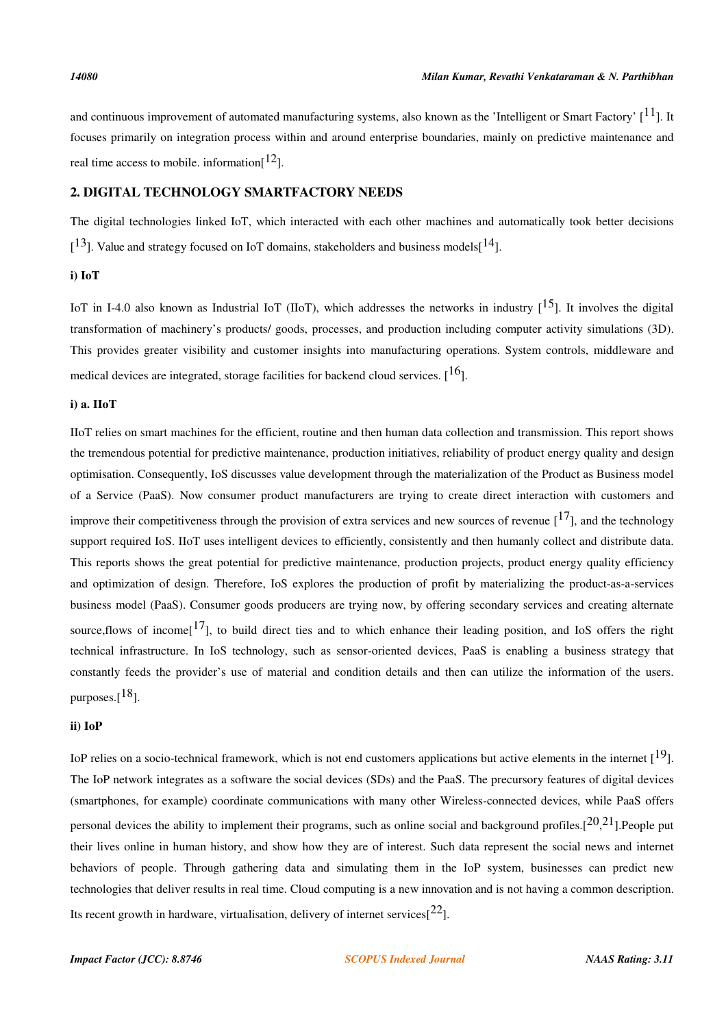and continuous improvement of automated manufacturing systems, also known as the 'Intelligent or Smart Factory'  $[11]$ . It focuses primarily on integration process within and around enterprise boundaries, mainly on predictive maintenance and real time access to mobile. information $[12]$ .

## **2. DIGITAL TECHNOLOGY SMARTFACTORY NEEDS**

The digital technologies linked IoT, which interacted with each other machines and automatically took better decisions  $[1<sup>3</sup>]$ . Value and strategy focused on IoT domains, stakeholders and business models $[1<sup>4</sup>]$ .

## **i) IoT**

IoT in I-4.0 also known as Industrial IoT (IIoT), which addresses the networks in industry  $[15]$ . It involves the digital transformation of machinery's products/ goods, processes, and production including computer activity simulations (3D). This provides greater visibility and customer insights into manufacturing operations. System controls, middleware and medical devices are integrated, storage facilities for backend cloud services.  $[16]$ .

#### **i) a. IIoT**

IIoT relies on smart machines for the efficient, routine and then human data collection and transmission. This report shows the tremendous potential for predictive maintenance, production initiatives, reliability of product energy quality and design optimisation. Consequently, IoS discusses value development through the materialization of the Product as Business model of a Service (PaaS). Now consumer product manufacturers are trying to create direct interaction with customers and improve their competitiveness through the provision of extra services and new sources of revenue  $[17]$ , and the technology support required IoS. IIoT uses intelligent devices to efficiently, consistently and then humanly collect and distribute data. This reports shows the great potential for predictive maintenance, production projects, product energy quality efficiency and optimization of design. Therefore, IoS explores the production of profit by materializing the product-as-a-services business model (PaaS). Consumer goods producers are trying now, by offering secondary services and creating alternate source, flows of income  $[17]$ , to build direct ties and to which enhance their leading position, and IoS offers the right technical infrastructure. In IoS technology, such as sensor-oriented devices, PaaS is enabling a business strategy that constantly feeds the provider's use of material and condition details and then can utilize the information of the users. purposes. $[18]$ .

#### **ii) IoP**

IoP relies on a socio-technical framework, which is not end customers applications but active elements in the internet  $[1^9]$ . The IoP network integrates as a software the social devices (SDs) and the PaaS. The precursory features of digital devices (smartphones, for example) coordinate communications with many other Wireless-connected devices, while PaaS offers personal devices the ability to implement their programs, such as online social and background profiles. $[20,21]$ . People put their lives online in human history, and show how they are of interest. Such data represent the social news and internet behaviors of people. Through gathering data and simulating them in the IoP system, businesses can predict new technologies that deliver results in real time. Cloud computing is a new innovation and is not having a common description. Its recent growth in hardware, virtualisation, delivery of internet services  $[22]$ .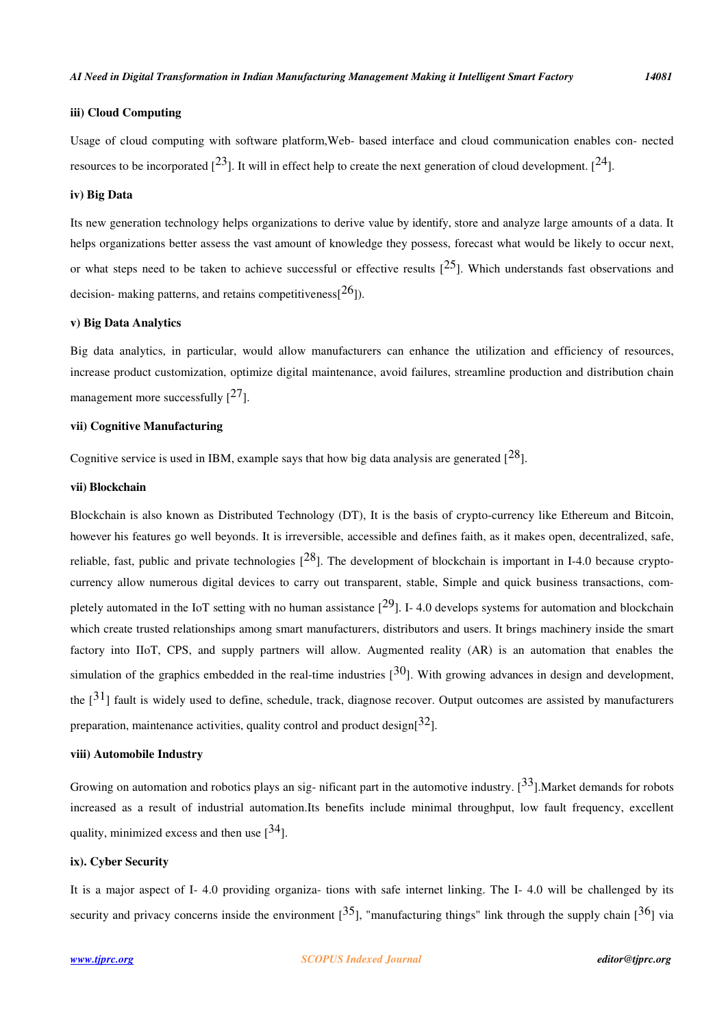## **iii) Cloud Computing**

Usage of cloud computing with software platform,Web- based interface and cloud communication enables con- nected resources to be incorporated  $[23]$ . It will in effect help to create the next generation of cloud development.  $[24]$ .

# **iv) Big Data**

Its new generation technology helps organizations to derive value by identify, store and analyze large amounts of a data. It helps organizations better assess the vast amount of knowledge they possess, forecast what would be likely to occur next, or what steps need to be taken to achieve successful or effective results  $[25]$ . Which understands fast observations and decision- making patterns, and retains competitiveness $[26]$ ).

#### **v) Big Data Analytics**

Big data analytics, in particular, would allow manufacturers can enhance the utilization and efficiency of resources, increase product customization, optimize digital maintenance, avoid failures, streamline production and distribution chain management more successfully  $[27]$ .

#### **vii) Cognitive Manufacturing**

Cognitive service is used in IBM, example says that how big data analysis are generated  $[28]$ .

#### **vii) Blockchain**

Blockchain is also known as Distributed Technology (DT), It is the basis of crypto-currency like Ethereum and Bitcoin, however his features go well beyonds. It is irreversible, accessible and defines faith, as it makes open, decentralized, safe, reliable, fast, public and private technologies  $[28]$ . The development of blockchain is important in I-4.0 because cryptocurrency allow numerous digital devices to carry out transparent, stable, Simple and quick business transactions, completely automated in the IoT setting with no human assistance  $[29]$ . I-4.0 develops systems for automation and blockchain which create trusted relationships among smart manufacturers, distributors and users. It brings machinery inside the smart factory into IIoT, CPS, and supply partners will allow. Augmented reality (AR) is an automation that enables the simulation of the graphics embedded in the real-time industries  $[30]$ . With growing advances in design and development, the  $\lceil 3^{1} \rceil$  fault is widely used to define, schedule, track, diagnose recover. Output outcomes are assisted by manufacturers preparation, maintenance activities, quality control and product design[ $32$ ].

## **viii) Automobile Industry**

Growing on automation and robotics plays an sig- nificant part in the automotive industry.  $[33]$ . Market demands for robots increased as a result of industrial automation.Its benefits include minimal throughput, low fault frequency, excellent quality, minimized excess and then use  $[34]$ .

#### **ix). Cyber Security**

It is a major aspect of I- 4.0 providing organiza- tions with safe internet linking. The I- 4.0 will be challenged by its security and privacy concerns inside the environment  $[35]$ , "manufacturing things" link through the supply chain  $[36]$  via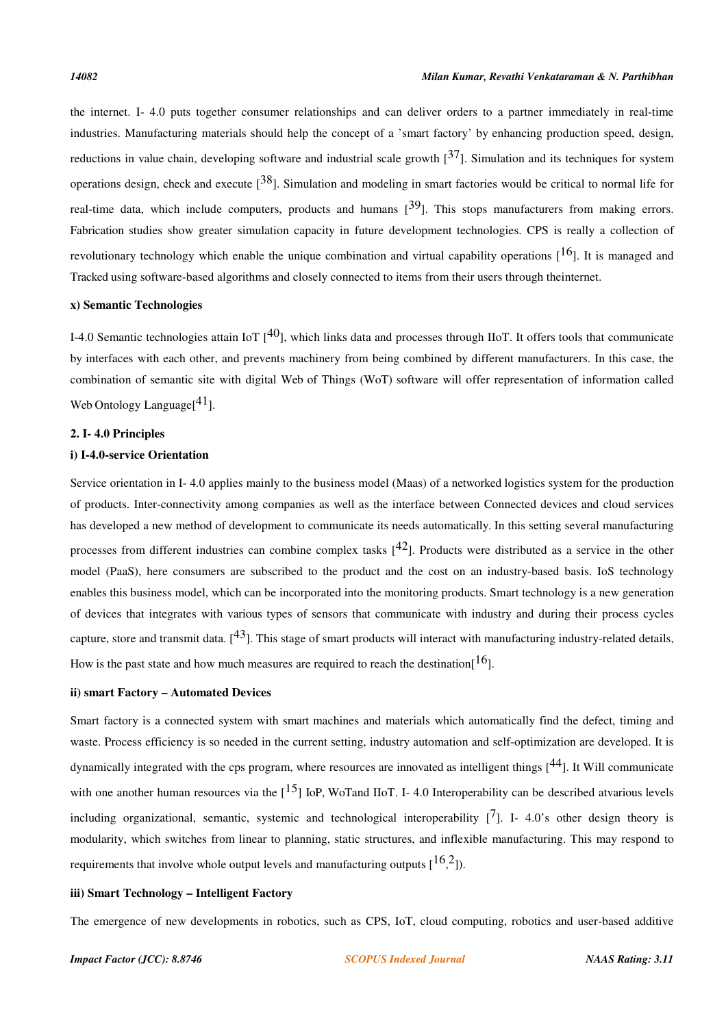the internet. I- 4.0 puts together consumer relationships and can deliver orders to a partner immediately in real-time industries. Manufacturing materials should help the concept of a 'smart factory' by enhancing production speed, design, reductions in value chain, developing software and industrial scale growth  $[37]$ . Simulation and its techniques for system operations design, check and execute  $[38]$ . Simulation and modeling in smart factories would be critical to normal life for real-time data, which include computers, products and humans  $[39]$ . This stops manufacturers from making errors. Fabrication studies show greater simulation capacity in future development technologies. CPS is really a collection of revolutionary technology which enable the unique combination and virtual capability operations  $[16]$ . It is managed and Tracked using software-based algorithms and closely connected to items from their users through theinternet.

## **x) Semantic Technologies**

I-4.0 Semantic technologies attain IoT  $[40]$ , which links data and processes through IIoT. It offers tools that communicate by interfaces with each other, and prevents machinery from being combined by different manufacturers. In this case, the combination of semantic site with digital Web of Things (WoT) software will offer representation of information called Web Ontology Language<sup>[41]</sup>.

## **2. I- 4.0 Principles**

#### **i) I-4.0-service Orientation**

Service orientation in I- 4.0 applies mainly to the business model (Maas) of a networked logistics system for the production of products. Inter-connectivity among companies as well as the interface between Connected devices and cloud services has developed a new method of development to communicate its needs automatically. In this setting several manufacturing processes from different industries can combine complex tasks  $[42]$ . Products were distributed as a service in the other model (PaaS), here consumers are subscribed to the product and the cost on an industry-based basis. IoS technology enables this business model, which can be incorporated into the monitoring products. Smart technology is a new generation of devices that integrates with various types of sensors that communicate with industry and during their process cycles capture, store and transmit data.  $[43]$ . This stage of smart products will interact with manufacturing industry-related details, How is the past state and how much measures are required to reach the destination  $[16]$ .

#### **ii) smart Factory – Automated Devices**

Smart factory is a connected system with smart machines and materials which automatically find the defect, timing and waste. Process efficiency is so needed in the current setting, industry automation and self-optimization are developed. It is dynamically integrated with the cps program, where resources are innovated as intelligent things  $[44]$ . It Will communicate with one another human resources via the  $[15]$  IoP, WoTand IIoT. I-4.0 Interoperability can be described atvarious levels including organizational, semantic, systemic and technological interoperability  $\begin{bmatrix} 7 \end{bmatrix}$ . I-4.0's other design theory is modularity, which switches from linear to planning, static structures, and inflexible manufacturing. This may respond to requirements that involve whole output levels and manufacturing outputs  $[16,2]$ ).

## **iii) Smart Technology – Intelligent Factory**

The emergence of new developments in robotics, such as CPS, IoT, cloud computing, robotics and user-based additive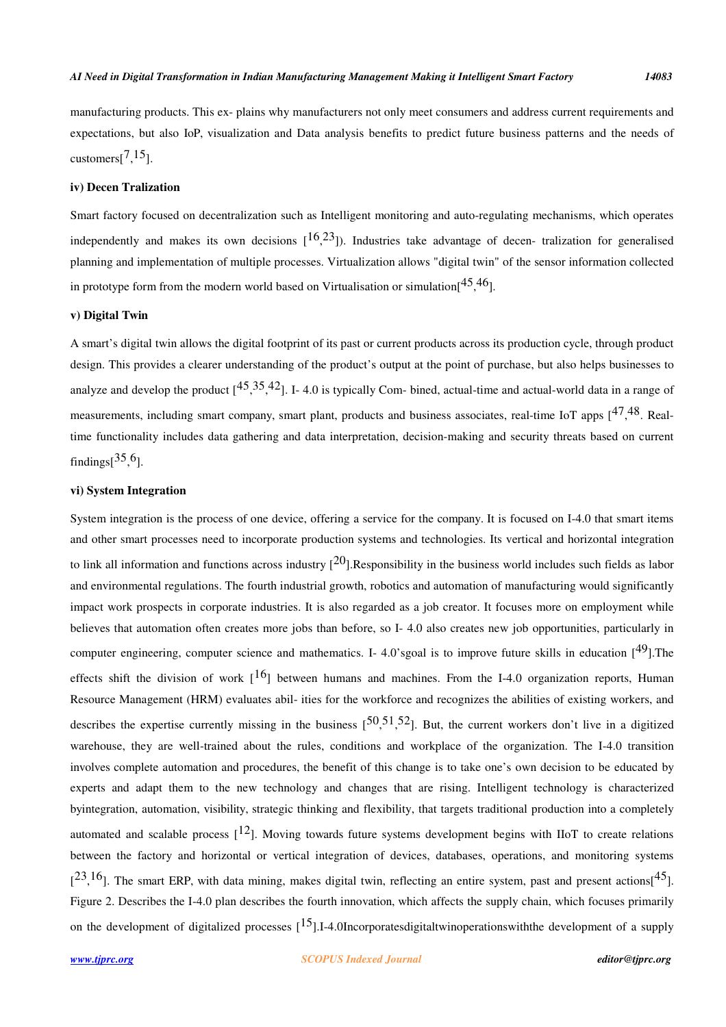manufacturing products. This ex- plains why manufacturers not only meet consumers and address current requirements and expectations, but also IoP, visualization and Data analysis benefits to predict future business patterns and the needs of customers $[7, 15]$ .

## **iv) Decen Tralization**

Smart factory focused on decentralization such as Intelligent monitoring and auto-regulating mechanisms, which operates independently and makes its own decisions  $[16,23]$ ). Industries take advantage of decen-tralization for generalised planning and implementation of multiple processes. Virtualization allows "digital twin" of the sensor information collected in prototype form from the modern world based on Virtualisation or simulation $[45, 46]$ .

#### **v) Digital Twin**

A smart's digital twin allows the digital footprint of its past or current products across its production cycle, through product design. This provides a clearer understanding of the product's output at the point of purchase, but also helps businesses to analyze and develop the product  $[45,35,42]$ . I-4.0 is typically Com-bined, actual-time and actual-world data in a range of measurements, including smart company, smart plant, products and business associates, real-time IoT apps [<sup>47,48</sup>. Realtime functionality includes data gathering and data interpretation, decision-making and security threats based on current findings $[^{35,6}$ ].

# **vi) System Integration**

System integration is the process of one device, offering a service for the company. It is focused on I-4.0 that smart items and other smart processes need to incorporate production systems and technologies. Its vertical and horizontal integration to link all information and functions across industry  $[20]$ .Responsibility in the business world includes such fields as labor and environmental regulations. The fourth industrial growth, robotics and automation of manufacturing would significantly impact work prospects in corporate industries. It is also regarded as a job creator. It focuses more on employment while believes that automation often creates more jobs than before, so I- 4.0 also creates new job opportunities, particularly in computer engineering, computer science and mathematics. I-4.0'sgoal is to improve future skills in education  $[49]$ . The effects shift the division of work  $1^{16}$  between humans and machines. From the I-4.0 organization reports, Human Resource Management (HRM) evaluates abil- ities for the workforce and recognizes the abilities of existing workers, and describes the expertise currently missing in the business  $[50, 51, 52]$ . But, the current workers don't live in a digitized warehouse, they are well-trained about the rules, conditions and workplace of the organization. The I-4.0 transition involves complete automation and procedures, the benefit of this change is to take one's own decision to be educated by experts and adapt them to the new technology and changes that are rising. Intelligent technology is characterized byintegration, automation, visibility, strategic thinking and flexibility, that targets traditional production into a completely automated and scalable process  $\lceil^{12}\rceil$ . Moving towards future systems development begins with IIoT to create relations between the factory and horizontal or vertical integration of devices, databases, operations, and monitoring systems  $[23, 16]$ . The smart ERP, with data mining, makes digital twin, reflecting an entire system, past and present actions $[45]$ . Figure 2. Describes the I-4.0 plan describes the fourth innovation, which affects the supply chain, which focuses primarily on the development of digitalized processes  $\begin{bmatrix} 15 \end{bmatrix}$ .I-4.0Incorporatesdigitaltwinoperationswith the development of a supply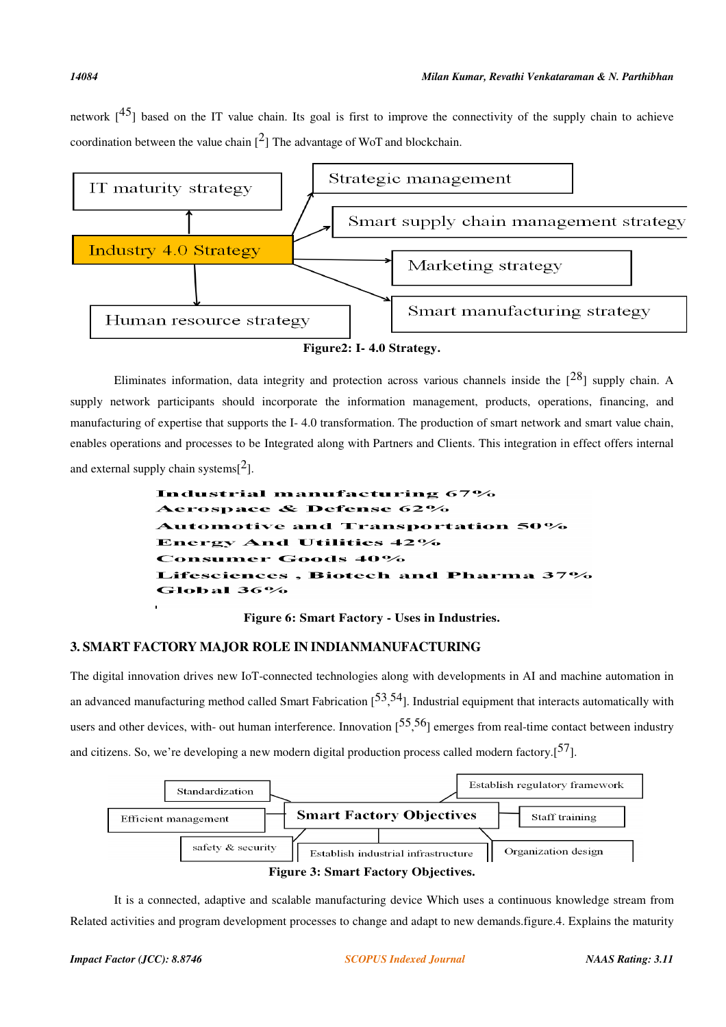network  $[45]$  based on the IT value chain. Its goal is first to improve the connectivity of the supply chain to achieve coordination between the value chain  $[2]$  The advantage of WoT and blockchain.



Eliminates information, data integrity and protection across various channels inside the  $\lceil 28 \rceil$  supply chain. A supply network participants should incorporate the information management, products, operations, financing, and manufacturing of expertise that supports the I- 4.0 transformation. The production of smart network and smart value chain, enables operations and processes to be Integrated along with Partners and Clients. This integration in effect offers internal and external supply chain systems $[2]$ .

> Industrial manufacturing 67% erospace & Defense 62% tomotive and Transportation 50% **Energy And Utilities 42%** nsumer Goods 40% , Biotech and Pharma 37% ces Global 36%

> > **Figure 6: Smart Factory - Uses in Industries.**

# **3. SMART FACTORY MAJOR ROLE IN INDIANMANUFACTURING**

The digital innovation drives new IoT-connected technologies along with developments in AI and machine automation in an advanced manufacturing method called Smart Fabrication  $[53, 54]$ . Industrial equipment that interacts automatically with users and other devices, with- out human interference. Innovation  $[55, 56]$  emerges from real-time contact between industry and citizens. So, we're developing a new modern digital production process called modern factory.<sup>[57]</sup>.



It is a connected, adaptive and scalable manufacturing device Which uses a continuous knowledge stream from Related activities and program development processes to change and adapt to new demands.figure.4. Explains the maturity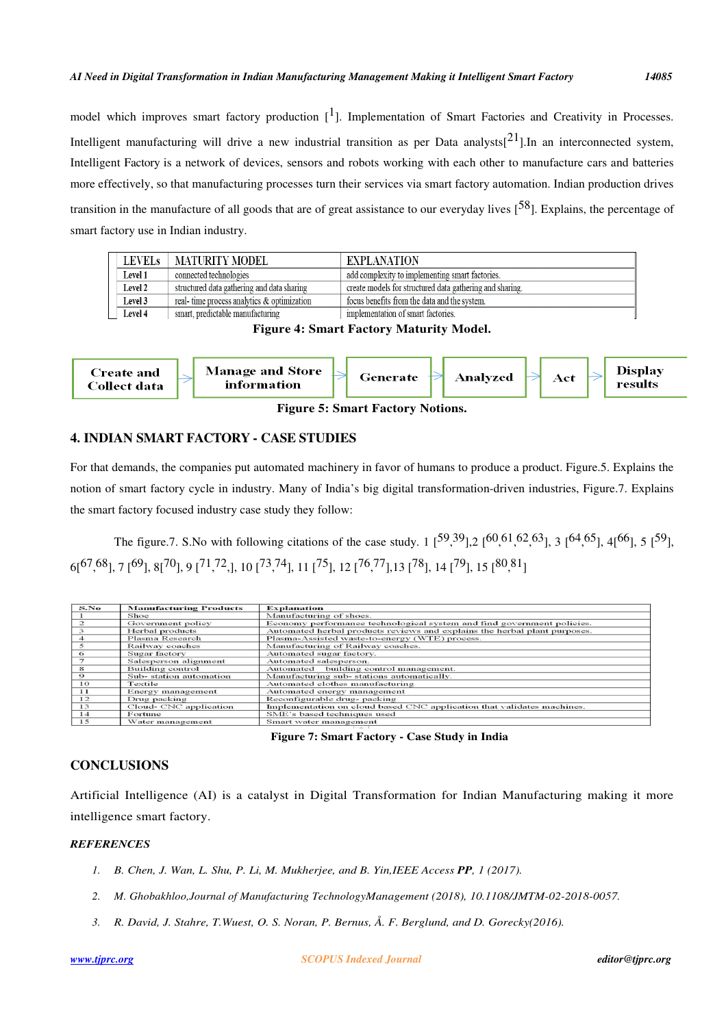model which improves smart factory production  $[1]$ . Implementation of Smart Factories and Creativity in Processes. Intelligent manufacturing will drive a new industrial transition as per Data analysts[ $21$ ].In an interconnected system, Intelligent Factory is a network of devices, sensors and robots working with each other to manufacture cars and batteries more effectively, so that manufacturing processes turn their services via smart factory automation. Indian production drives transition in the manufacture of all goods that are of great assistance to our everyday lives  $[58]$ . Explains, the percentage of smart factory use in Indian industry.

| LEVELs         | <b>MATURITY MODEL</b>                      | EXPLANATION                                              |
|----------------|--------------------------------------------|----------------------------------------------------------|
| Level 1        | connected technologies                     | add complexity to implementing smart factories.          |
| <b>Level 2</b> | structured data gathering and data sharing | create models for structured data gathering and sharing. |
| Level 3        | real-time process analytics & optimization | focus benefits from the data and the system.             |
| Level 4        | smart, predictable manufacturing           | implementation of smart factories.                       |

**Figure 4: Smart Factory Maturity Model.**



**Figure 5: Smart Factory Notions.**

# **4. INDIAN SMART FACTORY - CASE STUDIES**

For that demands, the companies put automated machinery in favor of humans to produce a product. Figure.5. Explains the notion of smart factory cycle in industry. Many of India's big digital transformation-driven industries, Figure.7. Explains the smart factory focused industry case study they follow:

The figure.7. S. No with following citations of the case study. 1  $[59,39]$ , 2  $[60,61,62,63]$ , 3  $[64,65]$ , 4 $[66]$ , 5  $[59]$ ,  $6[^{67,68}$ ], 7  $[^{69}$ ], 8 $[^{70}$ ], 9  $[^{71,72}$ ,], 10  $[^{73,74}$ ], 11  $[^{75}$ ], 12  $[^{76,77}$ ],13  $[^{78}$ ], 14  $[^{79}$ ], 15  $[^{80,81}$ ]

| S.No          | <b>Manufacturing Products</b> | <b>Explanation</b>                                                        |
|---------------|-------------------------------|---------------------------------------------------------------------------|
|               | Shoe                          | Manufacturing of shoes.                                                   |
| $\mathcal{D}$ | Government policy             | Economy performance technological system and find government policies.    |
|               | Herbal products               | Automated herbal products reviews and explains the herbal plant purposes. |
|               | Plasma Research               | Plasma-Assisted waste-to-energy (WTE) process.                            |
|               | Railway coaches               | Manufacturing of Railway coaches.                                         |
| 6             | Sugar factory                 | Automated sugar factory.                                                  |
|               | Salesperson alignment         | Automated salesperson.                                                    |
| 8             | Building control              | Automated building control management.                                    |
| $\circ$       | Sub-station automation        | Manufacturing sub-stations automatically.                                 |
| 10            | Textile                       | Automated clothes manufacturing                                           |
| 11            | Energy management             | Automated energy management                                               |
| 12            | Drug packing                  | Reconfigurable drug- packing                                              |
| 13            | Cloud- CNC application        | Implementation on cloud based CNC application that validates machines.    |
| 14            | Fortune                       | SME's based techniques used                                               |
| 15            | Water management              | Smart water management                                                    |

## **Figure 7: Smart Factory - Case Study in India**

# **CONCLUSIONS**

Artificial Intelligence (AI) is a catalyst in Digital Transformation for Indian Manufacturing making it more intelligence smart factory.

# *REFERENCES*

- *1. B. Chen, J. Wan, L. Shu, P. Li, M. Mukherjee, and B. Yin,IEEE Access PP, 1 (2017).*
- *2. M. Ghobakhloo,Journal of Manufacturing TechnologyManagement (2018), 10.1108/JMTM-02-2018-0057.*
- *3. R. David, J. Stahre, T.Wuest, O. S. Noran, P. Bernus, Å. F. Berglund, and D. Gorecky(2016).*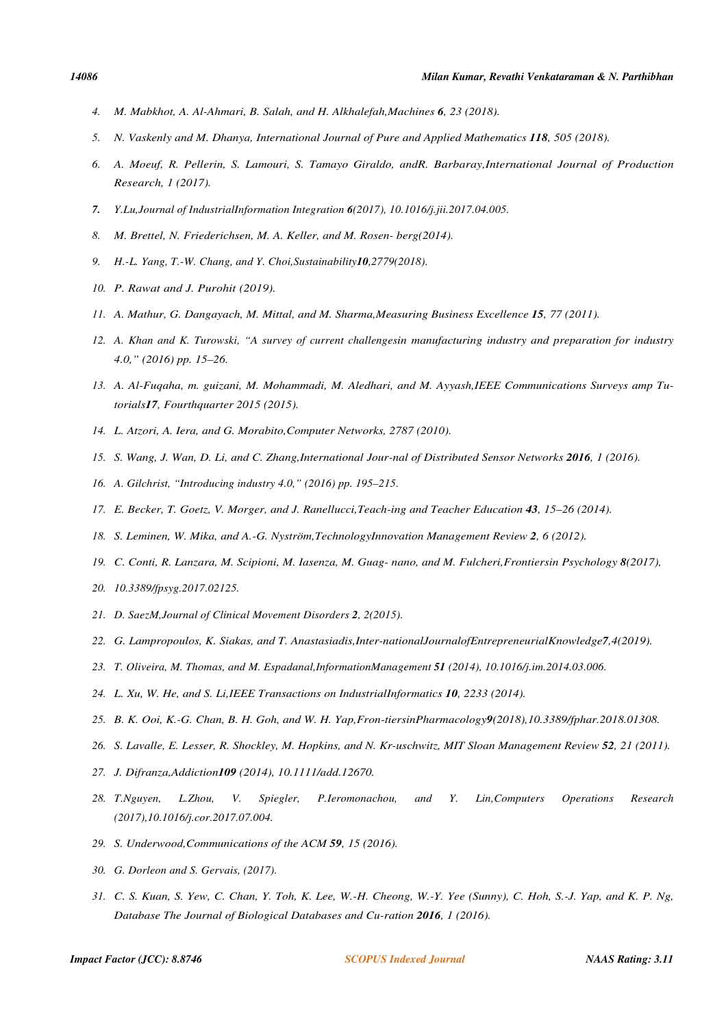- *4. M. Mabkhot, A. Al-Ahmari, B. Salah, and H. Alkhalefah,Machines 6, 23 (2018).*
- *5. N. Vaskenly and M. Dhanya, International Journal of Pure and Applied Mathematics 118, 505 (2018).*
- *6. A. Moeuf, R. Pellerin, S. Lamouri, S. Tamayo Giraldo, andR. Barbaray,International Journal of Production Research, 1 (2017).*
- *7. Y.Lu,Journal of IndustrialInformation Integration 6(2017), 10.1016/j.jii.2017.04.005.*
- *8. M. Brettel, N. Friederichsen, M. A. Keller, and M. Rosen- berg(2014).*
- *9. H.-L. Yang, T.-W. Chang, and Y. Choi,Sustainability10,2779(2018).*
- *10. P. Rawat and J. Purohit (2019).*
- *11. A. Mathur, G. Dangayach, M. Mittal, and M. Sharma,Measuring Business Excellence 15, 77 (2011).*
- *12. A. Khan and K. Turowski, "A survey of current challengesin manufacturing industry and preparation for industry 4.0," (2016) pp. 15–26.*
- *13. A. Al-Fuqaha, m. guizani, M. Mohammadi, M. Aledhari, and M. Ayyash,IEEE Communications Surveys amp Tutorials17, Fourthquarter 2015 (2015).*
- *14. L. Atzori, A. Iera, and G. Morabito,Computer Networks, 2787 (2010).*
- *15. S. Wang, J. Wan, D. Li, and C. Zhang,International Jour-nal of Distributed Sensor Networks 2016, 1 (2016).*
- *16. A. Gilchrist, "Introducing industry 4.0," (2016) pp. 195–215.*
- *17. E. Becker, T. Goetz, V. Morger, and J. Ranellucci,Teach-ing and Teacher Education 43, 15–26 (2014).*
- *18. S. Leminen, W. Mika, and A.-G. Nyström,TechnologyInnovation Management Review 2, 6 (2012).*
- *19. C. Conti, R. Lanzara, M. Scipioni, M. Iasenza, M. Guag- nano, and M. Fulcheri,Frontiersin Psychology 8(2017),*
- *20. 10.3389/fpsyg.2017.02125.*
- *21. D. SaezM,Journal of Clinical Movement Disorders 2, 2(2015).*
- *22. G. Lampropoulos, K. Siakas, and T. Anastasiadis,Inter-nationalJournalofEntrepreneurialKnowledge7,4(2019).*
- *23. T. Oliveira, M. Thomas, and M. Espadanal,InformationManagement 51 (2014), 10.1016/j.im.2014.03.006.*
- *24. L. Xu, W. He, and S. Li,IEEE Transactions on IndustrialInformatics 10, 2233 (2014).*
- *25. B. K. Ooi, K.-G. Chan, B. H. Goh, and W. H. Yap,Fron-tiersinPharmacology9(2018),10.3389/fphar.2018.01308.*
- *26. S. Lavalle, E. Lesser, R. Shockley, M. Hopkins, and N. Kr-uschwitz, MIT Sloan Management Review 52, 21 (2011).*
- *27. J. Difranza,Addiction109 (2014), 10.1111/add.12670.*
- *28. T.Nguyen, L.Zhou, V. Spiegler, P.Ieromonachou, and Y. Lin,Computers Operations Research (2017),10.1016/j.cor.2017.07.004.*
- *29. S. Underwood,Communications of the ACM 59, 15 (2016).*
- *30. G. Dorleon and S. Gervais, (2017).*
- *31. C. S. Kuan, S. Yew, C. Chan, Y. Toh, K. Lee, W.-H. Cheong, W.-Y. Yee (Sunny), C. Hoh, S.-J. Yap, and K. P. Ng, Database The Journal of Biological Databases and Cu-ration 2016, 1 (2016).*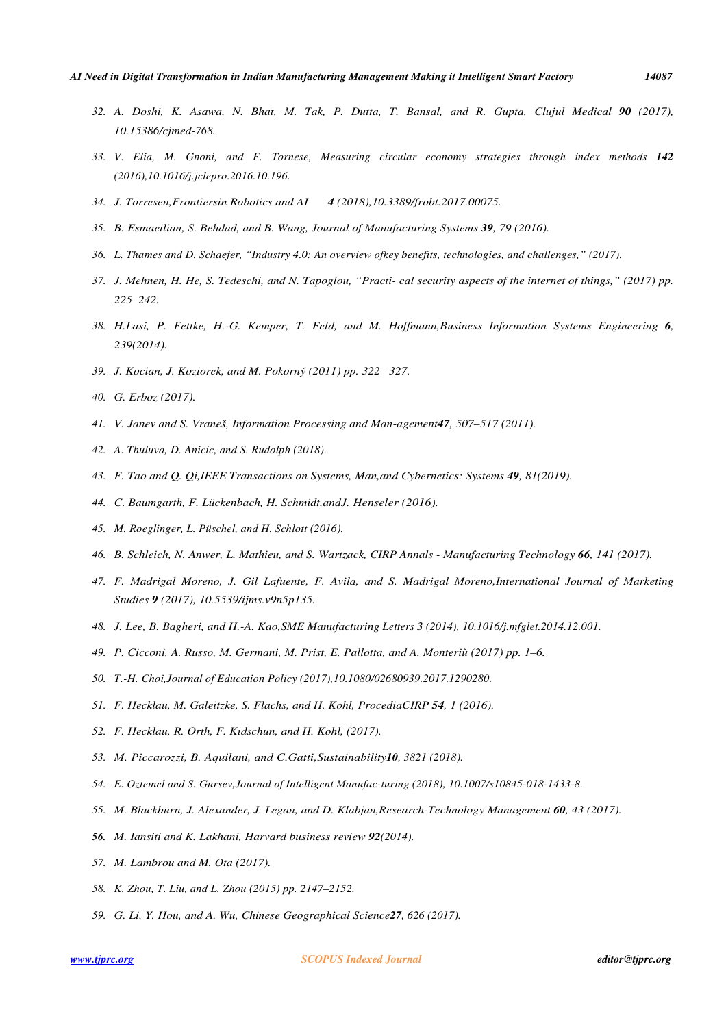- *32. A. Doshi, K. Asawa, N. Bhat, M. Tak, P. Dutta, T. Bansal, and R. Gupta, Clujul Medical 90 (2017), 10.15386/cjmed-768.*
- *33. V. Elia, M. Gnoni, and F. Tornese, Measuring circular economy strategies through index methods 142 (2016),10.1016/j.jclepro.2016.10.196.*
- *34. J. Torresen,Frontiersin Robotics and AI 4 (2018),10.3389/frobt.2017.00075.*
- *35. B. Esmaeilian, S. Behdad, and B. Wang, Journal of Manufacturing Systems 39, 79 (2016).*
- *36. L. Thames and D. Schaefer, "Industry 4.0: An overview ofkey benefits, technologies, and challenges," (2017).*
- *37. J. Mehnen, H. He, S. Tedeschi, and N. Tapoglou, "Practi- cal security aspects of the internet of things," (2017) pp. 225–242.*
- *38. H.Lasi, P. Fettke, H.-G. Kemper, T. Feld, and M. Hoffmann,Business Information Systems Engineering 6, 239(2014).*
- *39. J. Kocian, J. Koziorek, and M. Pokorný (2011) pp. 322– 327.*
- *40. G. Erboz (2017).*
- *41. V. Janev and S. Vraneš, Information Processing and Man-agement47, 507–517 (2011).*
- *42. A. Thuluva, D. Anicic, and S. Rudolph (2018).*
- *43. F. Tao and Q. Qi,IEEE Transactions on Systems, Man,and Cybernetics: Systems 49, 81(2019).*
- *44. C. Baumgarth, F. Lückenbach, H. Schmidt,andJ. Henseler (2016).*
- *45. M. Roeglinger, L. Püschel, and H. Schlott (2016).*
- *46. B. Schleich, N. Anwer, L. Mathieu, and S. Wartzack, CIRP Annals Manufacturing Technology 66, 141 (2017).*
- *47. F. Madrigal Moreno, J. Gil Lafuente, F. Avila, and S. Madrigal Moreno,International Journal of Marketing Studies 9 (2017), 10.5539/ijms.v9n5p135.*
- *48. J. Lee, B. Bagheri, and H.-A. Kao,SME Manufacturing Letters 3 (2014), 10.1016/j.mfglet.2014.12.001.*
- *49. P. Cicconi, A. Russo, M. Germani, M. Prist, E. Pallotta, and A. Monteriù (2017) pp. 1–6.*
- *50. T.-H. Choi,Journal of Education Policy (2017),10.1080/02680939.2017.1290280.*
- *51. F. Hecklau, M. Galeitzke, S. Flachs, and H. Kohl, ProcediaCIRP 54, 1 (2016).*
- *52. F. Hecklau, R. Orth, F. Kidschun, and H. Kohl, (2017).*
- *53. M. Piccarozzi, B. Aquilani, and C.Gatti,Sustainability10, 3821 (2018).*
- *54. E. Oztemel and S. Gursev,Journal of Intelligent Manufac-turing (2018), 10.1007/s10845-018-1433-8.*
- *55. M. Blackburn, J. Alexander, J. Legan, and D. Klabjan,Research-Technology Management 60, 43 (2017).*
- *56. M. Iansiti and K. Lakhani, Harvard business review 92(2014).*
- *57. M. Lambrou and M. Ota (2017).*
- *58. K. Zhou, T. Liu, and L. Zhou (2015) pp. 2147–2152.*
- *59. G. Li, Y. Hou, and A. Wu, Chinese Geographical Science27, 626 (2017).*